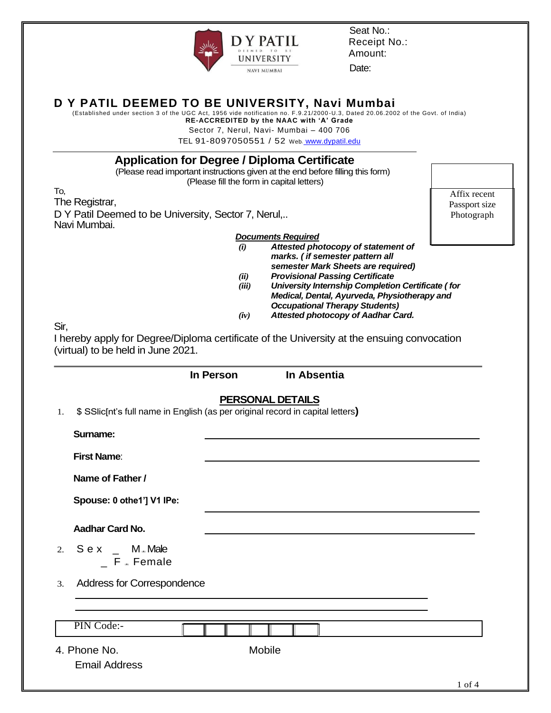

Seat No.: Receipt No.: Amount:

Date:

### **D Y PATIL DEEMED TO BE UNIVERSITY, Navi Mumbai**

(Established under section 3 of the UGC Act, 1956 vide notification no. F.9.21/2000 -U.3, Dated 20.06.2002 of the Govt. of India) **RE-ACCREDITED by the NAAC with "A" Grade**

Sector 7, Nerul, Navi- Mumbai – 400 706

TEL 91-8097050551 / 52 Web**:** [www.dypatil.edu](http://www.dypatil.edu/)

### **Application for Degree / Diploma Certificate**

(Please read important instructions given at the end before filling this form) (Please fill the form in capital letters)

To, The Registrar, D Y Patil Deemed to be University, Sector 7, Nerul,.. Navi Mumbai.

Affix recent Passport size Photograph

*Documents Required*

- *(i) Attested photocopy of statement of marks. ( if semester pattern all semester Mark Sheets are required)*
- *(ii) Provisional Passing Certificate*
- *(iii) University Internship Completion Certificate ( for Medical, Dental, Ayurveda, Physiotherapy and Occupational Therapy Students)*
- *(iv) Attested photocopy of Aadhar Card.*

Sir,

I hereby apply for Degree/Diploma certificate of the University at the ensuing convocation (virtual) to be held in June 2021.

|                                                                                      | In Person | In Absentia             |            |
|--------------------------------------------------------------------------------------|-----------|-------------------------|------------|
| \$ SSIic[nt's full name in English (as per original record in capital letters)<br>1. |           | <b>PERSONAL DETAILS</b> |            |
| Surname:                                                                             |           |                         |            |
| <b>First Name:</b>                                                                   |           |                         |            |
| Name of Father /                                                                     |           |                         |            |
| Spouse: 0 othe1'] V1 IPe:                                                            |           |                         |            |
| <b>Aadhar Card No.</b>                                                               |           |                         |            |
| 2. $S e X$ _ M <sub>*</sub> Male<br>$F =$ Female                                     |           |                         |            |
| Address for Correspondence<br>3.                                                     |           |                         |            |
|                                                                                      |           |                         |            |
| PIN Code:-                                                                           |           |                         |            |
| 4. Phone No.                                                                         |           | Mobile                  |            |
| <b>Email Address</b>                                                                 |           |                         |            |
|                                                                                      |           |                         | $1$ of $4$ |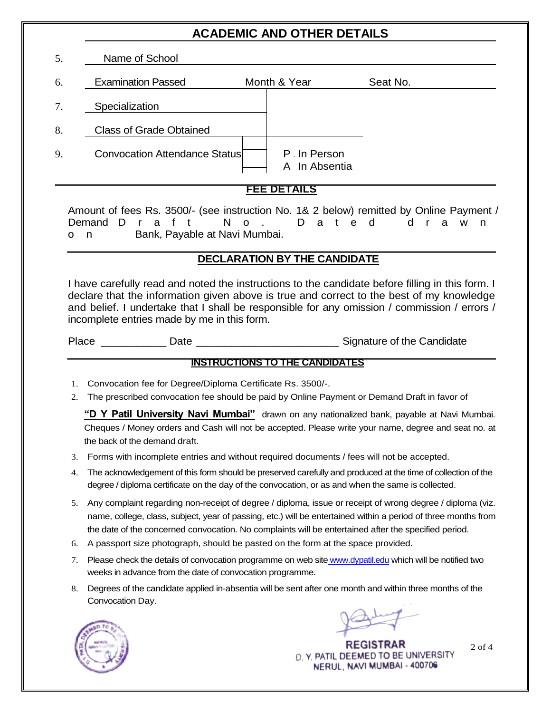# **ACADEMIC AND OTHER DETAILS**

| 5. | Name of School                       |                               |          |  |
|----|--------------------------------------|-------------------------------|----------|--|
| 6. | <b>Examination Passed</b>            | Month & Year                  | Seat No. |  |
| 7. | Specialization                       |                               |          |  |
| 8. | <b>Class of Grade Obtained</b>       |                               |          |  |
| 9. | <b>Convocation Attendance Status</b> | P. In Person<br>A In Absentia |          |  |

#### **FEE DETAILS**

Amount of fees Rs. 3500/- (see instruction No. 1& 2 below) remitted by Online Payment / Demand D r a f t N o . D a t e d d r a w n on Bank, Payable at Navi Mumbai.

#### **DECLARATION BY THE CANDIDATE**

I have carefully read and noted the instructions to the candidate before filling in this form. I declare that the information given above is true and correct to the best of my knowledge and belief. I undertake that I shall be responsible for any omission / commission / errors / incomplete entries made by me in this form.

Place \_\_\_\_\_\_\_\_\_\_\_\_\_\_ Date \_\_\_\_\_\_\_\_\_\_\_\_\_\_\_\_\_\_\_\_\_\_\_\_\_\_\_\_\_\_\_\_\_\_\_Signature of the Candidate

### **INSTRUCTIONS TO THE CANDIDATES**

- 1. Convocation fee for Degree/Diploma Certificate Rs. 3500/-.
- 2. The prescribed convocation fee should be paid by Online Payment or Demand Draft in favor of

**"D Y Patil University Navi Mumbai"** drawn on any nationalized bank, payable at Navi Mumbai. Cheques / Money orders and Cash will not be accepted. Please write your name, degree and seat no. at the back of the demand draft.

- 3. Forms with incomplete entries and without required documents / fees will not be accepted.
- 4. The acknowledgement of this form should be preserved carefully and produced at the time of collection of the degree / diploma certificate on the day of the convocation, or as and when the same is collected.
- 5. Any complaint regarding non-receipt of degree / diploma, issue or receipt of wrong degree / diploma (viz. name, college, class, subject, year of passing, etc.) will be entertained within a period of three months from the date of the concerned convocation. No complaints will be entertained after the specified period.
- 6. A passport size photograph, should be pasted on the form at the space provided.
- 7. Please check the details of convocation programme on web site [www.dypatil.edu](http://www.dypatil.edu/) which will be notified two weeks in advance from the date of convocation programme.
- 8. Degrees of the candidate applied in-absentia will be sent after one month and within three months of the Convocation Day.



**REGISTRAR** D. Y. PATIL DEEMED TO BE UNIVERSITY NERUL, NAVI MUMBAI - 400706

2 of 4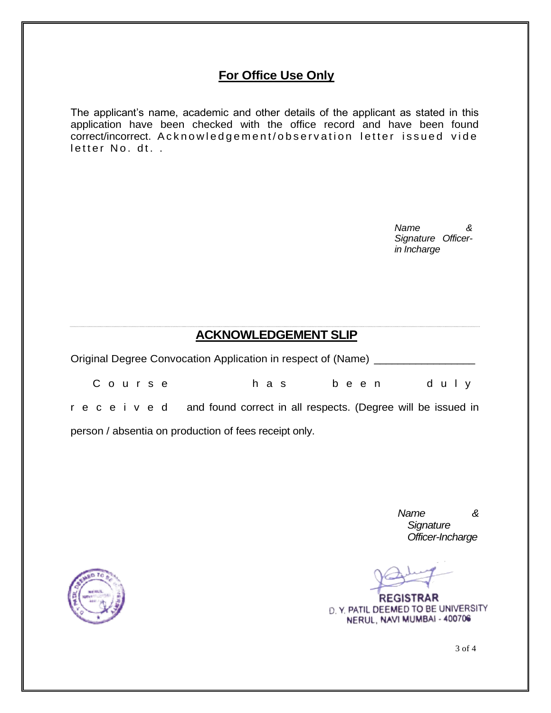# **For Office Use Only**

The applicant's name, academic and other details of the applicant as stated in this application have been checked with the office record and have been found correct/incorrect. A cknowledgement/observation letter issued vide letter No. dt. .

> *Name & Signature Officerin Incharge*

### **ACKNOWLEDGEMENT SLIP**

| Original Degree Convocation Application in respect of (Name) |       |      |      |  |
|--------------------------------------------------------------|-------|------|------|--|
| Course                                                       | h a s | been | duly |  |

r e c e i v e d and found correct in all respects. (Degree will be issued in person / absentia on production of fees receipt only.

> *Name & Signature Officer-Incharge*

**REGISTRAR** D. Y. PATIL DEEMED TO BE UNIVERSITY NERUL, NAVI MUMBAI - 400706



3 of 4